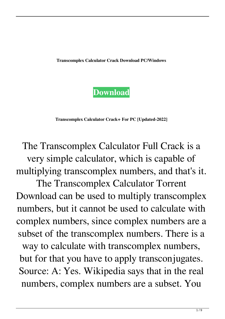**Transcomplex Calculator Crack Download PC/Windows**

## **[Download](http://evacdir.com/hammond/ZG93bmxvYWR8dEI5TjJRMGVIeDhNVFkxTkRRek5qWTFPSHg4TWpVNU1IeDhLRTBwSUZkdmNtUndjbVZ6Y3lCYldFMU1VbEJESUZZeUlGQkVSbDA.VHJhbnNjb21wbGV4IENhbGN1bGF0b3IVHJ/prevailing?monosodium=abdominiplasty)**

**Transcomplex Calculator Crack+ For PC [Updated-2022]**

The Transcomplex Calculator Full Crack is a very simple calculator, which is capable of multiplying transcomplex numbers, and that's it.

The Transcomplex Calculator Torrent Download can be used to multiply transcomplex numbers, but it cannot be used to calculate with complex numbers, since complex numbers are a subset of the transcomplex numbers. There is a

way to calculate with transcomplex numbers, but for that you have to apply transconjugates. Source: A: Yes. Wikipedia says that in the real numbers, complex numbers are a subset. You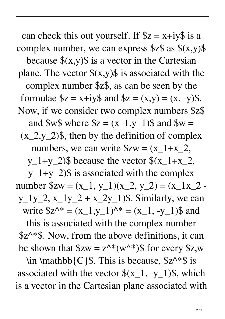can check this out yourself. If  $z = x+iy\$  is a complex number, we can express  $z \$ as  $(x,y)$ \$ because  $(x,y)$  is a vector in the Cartesian plane. The vector  $\frac{s(x,y)}{s}$  is associated with the complex number \$z\$, as can be seen by the formulae  $$z = x + iy$$  and  $$z = (x,y) = (x, -y)$$ . Now, if we consider two complex numbers \$z\$ and  $W\$  where  $Z = (x_1, y_1)$  and  $W =$  $(x_2,y_2)$ \$, then by the definition of complex numbers, we can write  $Szw = (x_1+x_2,$ y\_1+y\_2)\$ because the vector  $\{(x_1+x_2,$ 

 $y_1+y_2$ ) is associated with the complex number  $x = (x_1, y_1)(x_2, y_2) = (x_1x_2$  $y_1y_2$ ,  $x_1y_2 + x_2y_1$ \$. Similarly, we can write  $$z^{\wedge *} = (x_1, y_1)^{\wedge *} = (x_1, -y_1)$ \$ and

this is associated with the complex number  $$z^{\wedge *}$ \$. Now, from the above definitions, it can be shown that  $x = z^x * (w^x)$  for every  $z, w$ 

\in \mathbb{C}\$. This is because,  $x^*$ \$ is associated with the vector  $\{(x_1, -y_1)\},$  which is a vector in the Cartesian plane associated with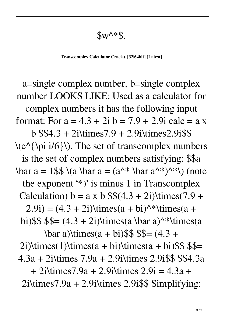$Sw^*s$ .

**Transcomplex Calculator Crack+ [32|64bit] [Latest]**

a=single complex number, b=single complex number LOOKS LIKE: Used as a calculator for complex numbers it has the following input format: For  $a = 4.3 + 2i b = 7.9 + 2.9i$  calc = a x b \$\$4.3 + 2i\times7.9 + 2.9i\times2.9i\$\$  $\langle e^{\lambda} \rangle$  ( $\langle \pi i/6 \rangle$ ). The set of transcomplex numbers is the set of complex numbers satisfying: \$\$a \bar a = 1\$\$ \(a \bar a =  $(a^{\wedge *} \bar{a} a^{\wedge *})^{\wedge *}$ \) (note the exponent '\*)' is minus 1 in Transcomplex Calculation)  $b = a \times b \$ \$(4.3 + 2i)\times(7.9 +  $(2.9i) = (4.3 + 2i)\times(a + bi)^{(*)}\times(a + bi)^{(*)}$ bi)  $\$   $\$   $\$  = (4.3 + 2i) \times(a \bar a)^\*\times(a  $\bar{a}$ )\times(a + bi)\$\$ \$\$= (4.3 +  $2i)$ \times(1)\times(a + bi)\times(a + bi)\$\$ \$\$= 4.3a + 2i\times 7.9a + 2.9i\times 2.9i\$\$ \$\$4.3a + 2i\times7.9a + 2.9i\times 2.9i = 4.3a +  $2$ i\times $7.9a + 2.9i$ \times  $2.9i$ \$\$ Simplifying: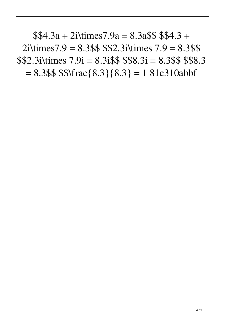$$4.3a + 2i\times7.9a = 8.3a$ \$\$\$\$4.3 +  $2$ i\times $7.9 = 8.3$ \$\$ \$\$2.3 i\times  $7.9 = 8.3$ \$\$  $$2.3$ i\times  $7.9$ i = 8.3i\$\$ \$\$8.3i = 8.3\$\$ \$\$8.3  $= 8.3$ \$\$ \$\$\frac{8.3}{8.3} = 1 81e310abbf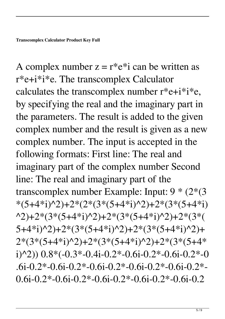A complex number  $z = r^*e^{*}i$  can be written as r\*e+i\*i\*e. The transcomplex Calculator calculates the transcomplex number  $r^*e+i^*i^*e$ , by specifying the real and the imaginary part in the parameters. The result is added to the given complex number and the result is given as a new complex number. The input is accepted in the following formats: First line: The real and imaginary part of the complex number Second line: The real and imaginary part of the transcomplex number Example: Input: 9 \* (2\*(3  $*(5+4*pi)^2) + 2*(2*(3*(5+4*pi)^2) + 2*(3*(5+4*pi))$ ^2)+2\*(3\*(5+4\*i)^2)+2\*(3\*(5+4\*i)^2)+2\*(3\*(  $5+4*i)$ <sup>2</sup> $+2*(3*(5+4*i)$ <sup>2</sup> $)+2*(3*(5+4*i)$ <sup>2</sup>)+  $2*(3*(5+4*i)^{2})+2*(3*(5+4*i)^{2})+2*(3*(5+4*$  $i)$  (2)) 0.8\*(-0.3\*-0.4i-0.2\*-0.6i-0.2\*-0.6i-0.2\*-0 .6i-0.2\*-0.6i-0.2\*-0.6i-0.2\*-0.6i-0.2\*-0.6i-0.2\*-  $0.6i-0.2*-0.6i-0.2*-0.6i-0.2*-0.6i-0.2*-0.6i-0.2$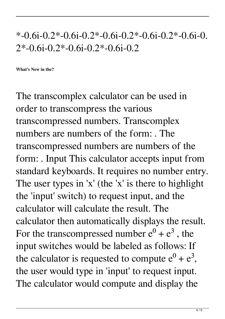## $*$ -0.6i-0.2 $*$ -0.6i-0.2 $*$ -0.6i-0.2 $*$ -0.6i-0.2 $*$ -0.6i-0.  $2*-0.6i-0.2*-0.6i-0.2*-0.6i-0.2$

**What's New in the?**

The transcomplex calculator can be used in order to transcompress the various transcompressed numbers. Transcomplex numbers are numbers of the form: . The transcompressed numbers are numbers of the form: . Input This calculator accepts input from standard keyboards. It requires no number entry. The user types in 'x' (the 'x' is there to highlight the 'input' switch) to request input, and the calculator will calculate the result. The calculator then automatically displays the result. For the transcompressed number  $e^0 + e^3$ , the input switches would be labeled as follows: If the calculator is requested to compute  $e^0 + e^3$ , the user would type in 'input' to request input. The calculator would compute and display the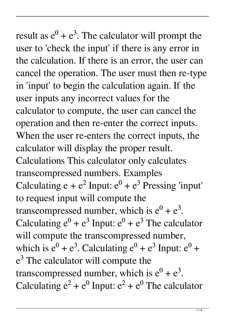result as  $e^0 + e^3$ . The calculator will prompt the user to 'check the input' if there is any error in the calculation. If there is an error, the user can cancel the operation. The user must then re-type in 'input' to begin the calculation again. If the user inputs any incorrect values for the calculator to compute, the user can cancel the operation and then re-enter the correct inputs. When the user re-enters the correct inputs, the calculator will display the proper result. Calculations This calculator only calculates transcompressed numbers. Examples Calculating  $e + e^2$  Input:  $e^0 + e^3$  Pressing 'input' to request input will compute the transcompressed number, which is  $e^0 + e^3$ . Calculating  $e^0 + e^3$  Input:  $e^0 + e^3$  The calculator will compute the transcompressed number, which is  $e^0 + e^3$ . Calculating  $e^0 + e^3$  Input:  $e^0$  +  $e<sup>3</sup>$  The calculator will compute the transcompressed number, which is  $e^0 + e^3$ . Calculating  $e^2 + e^0$  Input:  $e^2 + e^0$  The calculator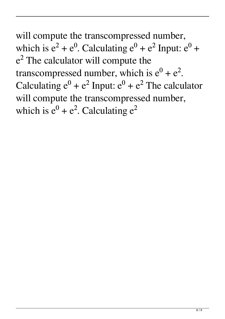will compute the transcompressed number, which is  $e^2 + e^0$ . Calculating  $e^0 + e^2$  Input:  $e^0$  +  $e<sup>2</sup>$  The calculator will compute the transcompressed number, which is  $e^0 + e^2$ . Calculating  $e^0 + e^2$  Input:  $e^0 + e^2$  The calculator will compute the transcompressed number, which is  $e^0 + e^2$ . Calculating  $e^2$